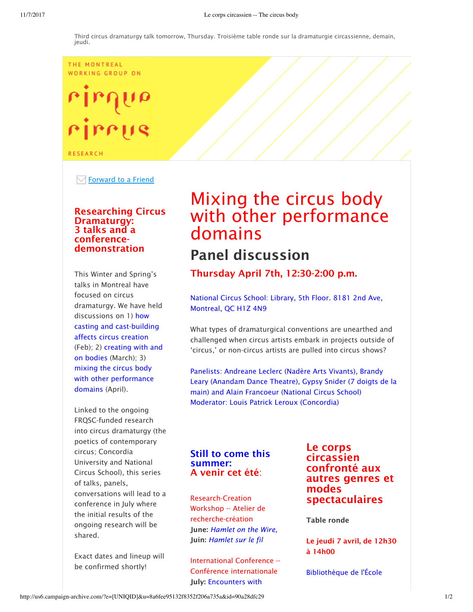#### THE MONTREAL WORKING GROUP ON

# rirrus

**RESEARCH** 

 $\boxdot$  Forward to a Friend

### Researching Circus Dramaturgy: 3 talks and a conferencedemonstration

This Winter and Spring's talks in Montreal have focused on circus dramaturgy. We have held discussions on 1) how casting and cast-building affects circus creation (Feb); 2) creating with and on bodies (March); 3) mixing the circus body with other performance domains (April).

Linked to the ongoing FRQSC-funded research into circus dramaturgy (the poetics of contemporary circus; Concordia University and National Circus School), this series of talks, panels, conversations will lead to a conference in July where the initial results of the ongoing research will be shared.

Exact dates and lineup will be confirmed shortly!

## Mixing the circus body with other performance domains Panel discussion

Thursday April 7th, 12:30-2:00 p.m.

National Circus School: Library, 5th Floor. 8181 2nd Ave, Montreal, QC H1Z 4N9

What types of dramaturgical conventions are unearthed and challenged when circus artists embark in projects outside of 'circus,' or non-circus artists are pulled into circus shows?

Panelists: Andreane Leclerc (Nadère Arts Vivants), Brandy Leary (Anandam Dance Theatre), Gypsy Snider (7 doigts de la main) and Alain Francoeur (National Circus School) Moderator: Louis Patrick Leroux (Concordia)

### Still to come this summer: A venir cet été:

Research-Creation Workshop -- Atelier de recherche-création June: *Hamlet on the Wire,*  Juin: *Hamlet sur le fil*

International Conference -- Conférence internationale July: Encounters with

Le corps circassien confronté aux autres genres et modes spectaculaires

Table ronde

Le jeudi 7 avril, de 12h30 à 14h00

Bibliothèque de l'École